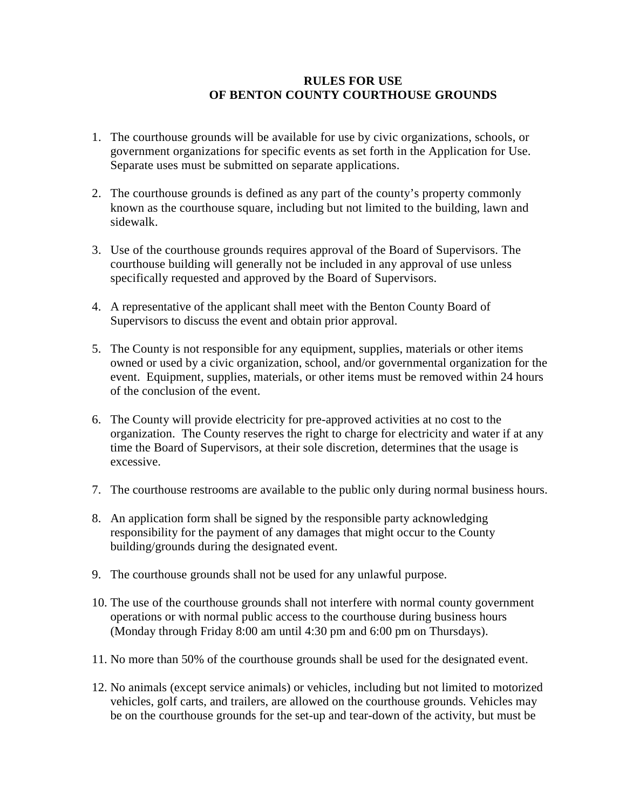## **RULES FOR USE OF BENTON COUNTY COURTHOUSE GROUNDS**

- 1. The courthouse grounds will be available for use by civic organizations, schools, or government organizations for specific events as set forth in the Application for Use. Separate uses must be submitted on separate applications.
- 2. The courthouse grounds is defined as any part of the county's property commonly known as the courthouse square, including but not limited to the building, lawn and sidewalk.
- 3. Use of the courthouse grounds requires approval of the Board of Supervisors. The courthouse building will generally not be included in any approval of use unless specifically requested and approved by the Board of Supervisors.
- 4. A representative of the applicant shall meet with the Benton County Board of Supervisors to discuss the event and obtain prior approval.
- 5. The County is not responsible for any equipment, supplies, materials or other items owned or used by a civic organization, school, and/or governmental organization for the event. Equipment, supplies, materials, or other items must be removed within 24 hours of the conclusion of the event.
- 6. The County will provide electricity for pre-approved activities at no cost to the organization. The County reserves the right to charge for electricity and water if at any time the Board of Supervisors, at their sole discretion, determines that the usage is excessive.
- 7. The courthouse restrooms are available to the public only during normal business hours.
- 8. An application form shall be signed by the responsible party acknowledging responsibility for the payment of any damages that might occur to the County building/grounds during the designated event.
- 9. The courthouse grounds shall not be used for any unlawful purpose.
- 10. The use of the courthouse grounds shall not interfere with normal county government operations or with normal public access to the courthouse during business hours (Monday through Friday 8:00 am until 4:30 pm and 6:00 pm on Thursdays).
- 11. No more than 50% of the courthouse grounds shall be used for the designated event.
- 12. No animals (except service animals) or vehicles, including but not limited to motorized vehicles, golf carts, and trailers, are allowed on the courthouse grounds. Vehicles may be on the courthouse grounds for the set-up and tear-down of the activity, but must be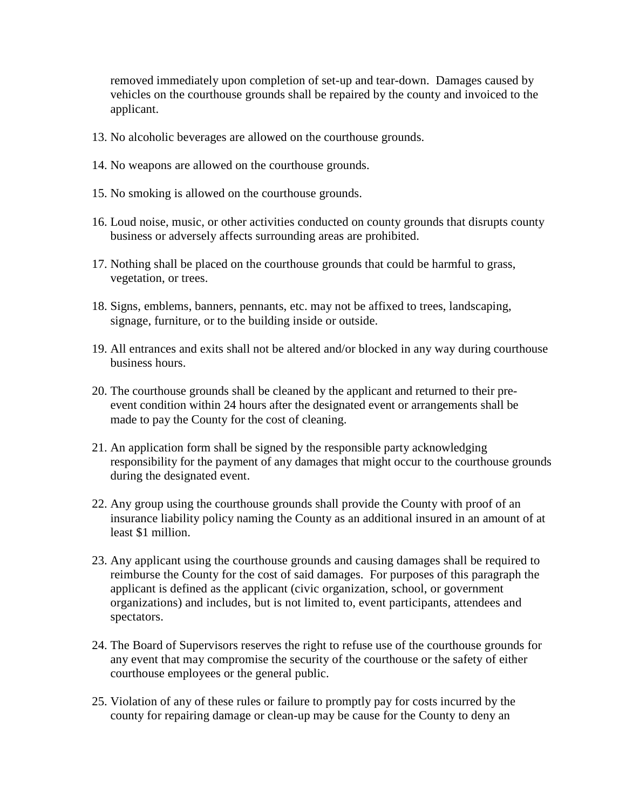removed immediately upon completion of set-up and tear-down. Damages caused by vehicles on the courthouse grounds shall be repaired by the county and invoiced to the applicant.

- 13. No alcoholic beverages are allowed on the courthouse grounds.
- 14. No weapons are allowed on the courthouse grounds.
- 15. No smoking is allowed on the courthouse grounds.
- 16. Loud noise, music, or other activities conducted on county grounds that disrupts county business or adversely affects surrounding areas are prohibited.
- 17. Nothing shall be placed on the courthouse grounds that could be harmful to grass, vegetation, or trees.
- 18. Signs, emblems, banners, pennants, etc. may not be affixed to trees, landscaping, signage, furniture, or to the building inside or outside.
- 19. All entrances and exits shall not be altered and/or blocked in any way during courthouse business hours.
- 20. The courthouse grounds shall be cleaned by the applicant and returned to their preevent condition within 24 hours after the designated event or arrangements shall be made to pay the County for the cost of cleaning.
- 21. An application form shall be signed by the responsible party acknowledging responsibility for the payment of any damages that might occur to the courthouse grounds during the designated event.
- 22. Any group using the courthouse grounds shall provide the County with proof of an insurance liability policy naming the County as an additional insured in an amount of at least \$1 million.
- 23. Any applicant using the courthouse grounds and causing damages shall be required to reimburse the County for the cost of said damages. For purposes of this paragraph the applicant is defined as the applicant (civic organization, school, or government organizations) and includes, but is not limited to, event participants, attendees and spectators.
- 24. The Board of Supervisors reserves the right to refuse use of the courthouse grounds for any event that may compromise the security of the courthouse or the safety of either courthouse employees or the general public.
- 25. Violation of any of these rules or failure to promptly pay for costs incurred by the county for repairing damage or clean-up may be cause for the County to deny an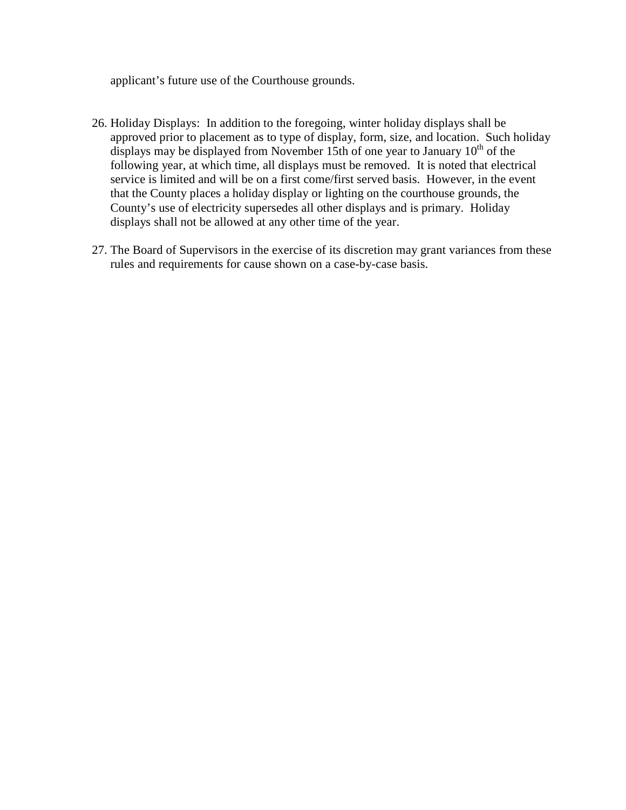applicant's future use of the Courthouse grounds.

- 26. Holiday Displays: In addition to the foregoing, winter holiday displays shall be approved prior to placement as to type of display, form, size, and location. Such holiday displays may be displayed from November 15th of one year to January  $10<sup>th</sup>$  of the following year, at which time, all displays must be removed. It is noted that electrical service is limited and will be on a first come/first served basis. However, in the event that the County places a holiday display or lighting on the courthouse grounds, the County's use of electricity supersedes all other displays and is primary. Holiday displays shall not be allowed at any other time of the year.
- 27. The Board of Supervisors in the exercise of its discretion may grant variances from these rules and requirements for cause shown on a case-by-case basis.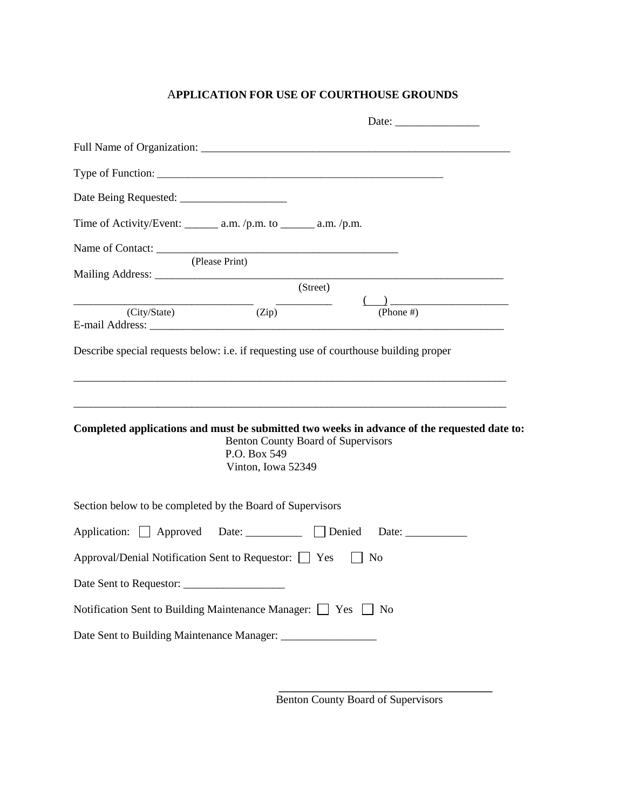## A**PPLICATION FOR USE OF COURTHOUSE GROUNDS**

|                                                                                             |                                                                                 |          | Date:          |  |
|---------------------------------------------------------------------------------------------|---------------------------------------------------------------------------------|----------|----------------|--|
|                                                                                             |                                                                                 |          |                |  |
|                                                                                             |                                                                                 |          |                |  |
|                                                                                             |                                                                                 |          |                |  |
| Time of Activity/Event: $\_\_\_\_\$ a.m. /p.m. to $\_\_\_\_\$ a.m. /p.m.                    |                                                                                 |          |                |  |
| Name of Contact:                                                                            |                                                                                 |          |                |  |
|                                                                                             | (Please Print)                                                                  |          |                |  |
|                                                                                             |                                                                                 | (Street) |                |  |
| $(City/State)$ $(Zip)$                                                                      |                                                                                 |          | (Phone $#$ )   |  |
| Completed applications and must be submitted two weeks in advance of the requested date to: | <b>Benton County Board of Supervisors</b><br>P.O. Box 549<br>Vinton, Iowa 52349 |          |                |  |
| Section below to be completed by the Board of Supervisors                                   |                                                                                 |          |                |  |
|                                                                                             |                                                                                 |          |                |  |
| Approval/Denial Notification Sent to Requestor: Ves                                         |                                                                                 |          | N <sub>0</sub> |  |
|                                                                                             |                                                                                 |          |                |  |
| Notification Sent to Building Maintenance Manager: Nes No                                   |                                                                                 |          |                |  |
|                                                                                             |                                                                                 |          |                |  |

 **\_\_\_\_\_\_\_\_\_\_\_\_\_\_\_\_\_\_\_\_\_\_\_\_\_\_\_\_\_\_\_\_\_\_\_\_\_\_** 

Benton County Board of Supervisors